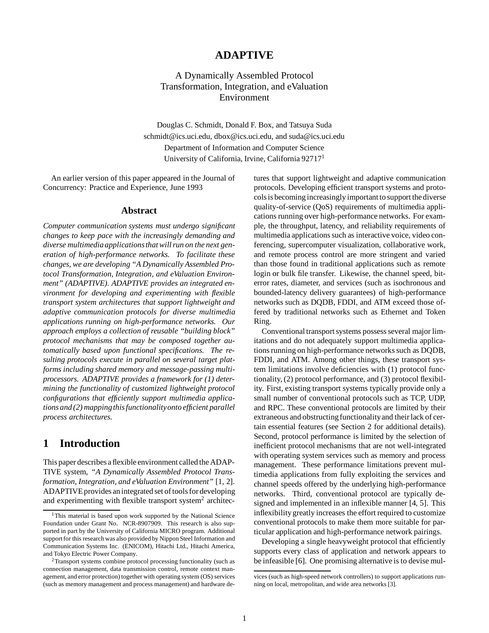### **ADAPTIVE**

A Dynamically Assembled Protocol Transformation, Integration, and eValuation Environment

Douglas C. Schmidt, Donald F. Box, and Tatsuya Suda schmidt@ics.uci.edu, dbox@ics.uci.edu, and suda@ics.uci.edu Department of Information and Computer Science University of California, Irvine, California 92717<sup>1</sup>

An earlier version of this paper appeared in the Journal of Concurrency: Practice and Experience, June 1993

#### **Abstract**

*Computer communication systems must undergo significant changes to keep pace with the increasingly demanding and diverse multimediaapplicationsthat will run on the next generation of high-performance networks. To facilitate these changes, we are developing "A Dynamically Assembled Protocol Transformation, Integration, and eValuation Environment" (ADAPTIVE). ADAPTIVE provides an integrated environment for developing and experimenting with flexible transport system architectures that support lightweight and adaptive communication protocols for diverse multimedia applications running on high-performance networks. Our approach employs a collection of reusable "building block" protocol mechanisms that may be composed together automatically based upon functional specifications. The resulting protocols execute in parallel on several target platforms including shared memory and message-passing multiprocessors. ADAPTIVE provides a framework for (1) determining the functionality of customized lightweight protocol configurations that efficiently support multimedia applications and (2) mappingthis functionalityonto efficient parallel process architectures.*

# **1 Introduction**

This paper describes a flexible environment called the ADAP-TIVE system, *"A Dynamically Assembled Protocol Transformation, Integration, and eValuation Environment"* [1, 2]. ADAPTIVE provides an integrated set of tools for developing and experimenting with flexible transport system<sup>2</sup> architec-

tures that support lightweight and adaptive communication protocols. Developing efficient transport systems and protocols is becoming increasingly important to support the diverse quality-of-service (QoS) requirements of multimedia applications running over high-performance networks. For example, the throughput, latency, and reliability requirements of multimedia applications such as interactive voice, video conferencing, supercomputer visualization, collaborative work, and remote process control are more stringent and varied than those found in traditional applications such as remote login or bulk file transfer. Likewise, the channel speed, biterror rates, diameter, and services (such as isochronous and bounded-latency delivery guarantees) of high-performance networks such as DQDB, FDDI, and ATM exceed those offered by traditional networks such as Ethernet and Token Ring.

Conventional transport systems possess several major limitations and do not adequately support multimedia applications running on high-performance networks such as DQDB, FDDI, and ATM. Among other things, these transport system limitations involve deficiencies with (1) protocol functionality, (2) protocol performance, and (3) protocol flexibility. First, existing transport systems typically provide only a small number of conventional protocols such as TCP, UDP, and RPC. These conventional protocols are limited by their extraneous and obstructing functionality and their lack of certain essential features (see Section 2 for additional details). Second, protocol performance is limited by the selection of inefficient protocol mechanisms that are not well-integrated with operating system services such as memory and process management. These performance limitations prevent multimedia applications from fully exploiting the services and channel speeds offered by the underlying high-performance networks. Third, conventional protocol are typically designed and implemented in an inflexible manner [4, 5]. This inflexibilitygreatly increases the effort required to customize conventional protocols to make them more suitable for particular application and high-performance network pairings.

Developing a single heavyweight protocol that efficiently supports every class of application and network appears to be infeasible [6]. One promising alternative is to devise mul-

<sup>&</sup>lt;sup>1</sup>This material is based upon work supported by the National Science Foundation under Grant No. NCR-8907909. This research is also supported in part by the University of California MICRO program. Additional support for this research was also provided by Nippon Steel Information and Communication Systems Inc. (ENICOM), Hitachi Ltd., Hitachi America, and Tokyo Electric Power Company.

 $2$ Transport systems combine protocol processing functionality (such as connection management, data transmission control, remote context management, and error protection) together with operating system (OS) services (such as memory management and process management) and hardware de-

vices (such as high-speed network controllers) to support applications running on local, metropolitan, and wide area networks [3].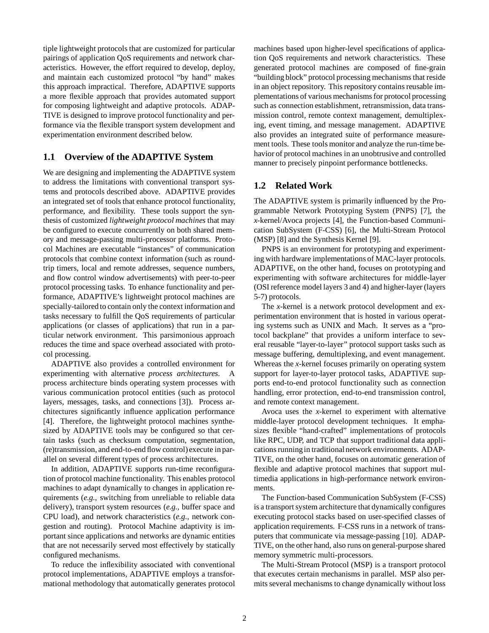tiple lightweight protocols that are customized for particular pairings of application QoS requirements and network characteristics. However, the effort required to develop, deploy, and maintain each customized protocol "by hand" makes this approach impractical. Therefore, ADAPTIVE supports a more flexible approach that provides automated support for composing lightweight and adaptive protocols. ADAP-TIVE is designed to improve protocol functionality and performance via the flexible transport system development and experimentation environment described below.

#### **1.1 Overview of the ADAPTIVE System**

We are designing and implementing the ADAPTIVE system to address the limitations with conventional transport systems and protocols described above. ADAPTIVE provides an integrated set of tools that enhance protocol functionality, performance, and flexibility. These tools support the synthesis of customized *lightweight protocol machines* that may be configured to execute concurrently on both shared memory and message-passing multi-processor platforms. Protocol Machines are executable "instances" of communication protocols that combine context information (such as roundtrip timers, local and remote addresses, sequence numbers, and flow control window advertisements) with peer-to-peer protocol processing tasks. To enhance functionality and performance, ADAPTIVE's lightweight protocol machines are specially-tailored to contain only the context information and tasks necessary to fulfill the QoS requirements of particular applications (or classes of applications) that run in a particular network environment. This parsimonious approach reduces the time and space overhead associated with protocol processing.

ADAPTIVE also provides a controlled environment for experimenting with alternative *process architectures*. A process architecture binds operating system processes with various communication protocol entities (such as protocol layers, messages, tasks, and connections [3]). Process architectures significantly influence application performance [4]. Therefore, the lightweight protocol machines synthesized by ADAPTIVE tools may be configured so that certain tasks (such as checksum computation, segmentation, (re)transmission, and end-to-end flow control)execute in parallel on several different types of process architectures.

In addition, ADAPTIVE supports run-time reconfiguration of protocol machine functionality. This enables protocol machines to adapt dynamically to changes in application requirements (*e.g.,* switching from unreliable to reliable data delivery), transport system resources (*e.g.,* buffer space and CPU load), and network characteristics (*e.g.,* network congestion and routing). Protocol Machine adaptivity is important since applications and networks are dynamic entities that are not necessarily served most effectively by statically configured mechanisms.

To reduce the inflexibility associated with conventional protocol implementations, ADAPTIVE employs a transformational methodology that automatically generates protocol machines based upon higher-level specifications of application QoS requirements and network characteristics. These generated protocol machines are composed of fine-grain "building block" protocol processing mechanisms that reside in an object repository. This repository contains reusable implementations of various mechanisms for protocol processing such as connection establishment, retransmission, data transmission control, remote context management, demultiplexing, event timing, and message management. ADAPTIVE also provides an integrated suite of performance measurement tools. These tools monitor and analyze the run-time behavior of protocol machines in an unobtrusive and controlled manner to precisely pinpoint performance bottlenecks.

### **1.2 Related Work**

The ADAPTIVE system is primarily influenced by the Programmable Network Prototyping System (PNPS) [7], the *x*-kernel/Avoca projects [4], the Function-based Communication SubSystem (F-CSS) [6], the Multi-Stream Protocol (MSP) [8] and the Synthesis Kernel [9].

PNPS is an environment for prototyping and experimenting with hardware implementations of MAC-layer protocols. ADAPTIVE, on the other hand, focuses on prototyping and experimenting with software architectures for middle-layer (OSI reference model layers 3 and 4) and higher-layer (layers 5-7) protocols.

The *x*-kernel is a network protocol development and experimentation environment that is hosted in various operating systems such as UNIX and Mach. It serves as a "protocol backplane" that provides a uniform interface to several reusable "layer-to-layer" protocol support tasks such as message buffering, demultiplexing, and event management. Whereas the *x*-kernel focuses primarily on operating system support for layer-to-layer protocol tasks, ADAPTIVE supports end-to-end protocol functionality such as connection handling, error protection, end-to-end transmission control, and remote context management.

Avoca uses the *x*-kernel to experiment with alternative middle-layer protocol development techniques. It emphasizes flexible "hand-crafted" implementations of protocols like RPC, UDP, and TCP that support traditional data applications runningin traditional network environments. ADAP-TIVE, on the other hand, focuses on automatic generation of flexible and adaptive protocol machines that support multimedia applications in high-performance network environments.

The Function-based Communication SubSystem (F-CSS) is a transport system architecture that dynamically configures executing protocol stacks based on user-specified classes of application requirements. F-CSS runs in a network of transputers that communicate via message-passing [10]. ADAP-TIVE, on the other hand, also runs on general-purpose shared memory symmetric multi-processors.

The Multi-Stream Protocol (MSP) is a transport protocol that executes certain mechanisms in parallel. MSP also permits several mechanisms to change dynamically without loss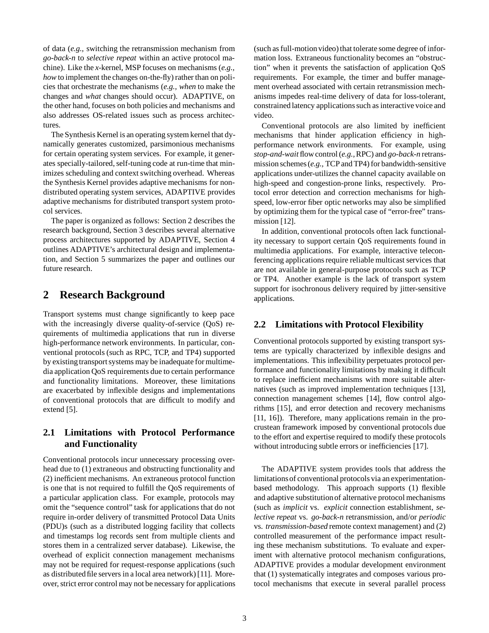of data (*e.g.,* switching the retransmission mechanism from *go-back-n* to *selective repeat* within an active protocol machine). Like the *x*-kernel, MSP focuses on mechanisms (*e.g., how* to implement the changes on-the-fly) rather than on policies that orchestrate the mechanisms (*e.g., when* to make the changes and *what* changes should occur). ADAPTIVE, on the other hand, focuses on both policies and mechanisms and also addresses OS-related issues such as process architectures.

The Synthesis Kernel is an operating system kernel that dynamically generates customized, parsimonious mechanisms for certain operating system services. For example, it generates specially-tailored, self-tuning code at run-time that minimizes scheduling and context switching overhead. Whereas the Synthesis Kernel provides adaptive mechanisms for nondistributed operating system services, ADAPTIVE provides adaptive mechanisms for distributed transport system protocol services.

The paper is organized as follows: Section 2 describes the research background, Section 3 describes several alternative process architectures supported by ADAPTIVE, Section 4 outlines ADAPTIVE's architectural design and implementation, and Section 5 summarizes the paper and outlines our future research.

## **2 Research Background**

Transport systems must change significantly to keep pace with the increasingly diverse quality-of-service (QoS) requirements of multimedia applications that run in diverse high-performance network environments. In particular, conventional protocols (such as RPC, TCP, and TP4) supported by existing transport systems may be inadequate for multimedia application QoS requirements due to certain performance and functionality limitations. Moreover, these limitations are exacerbated by inflexible designs and implementations of conventional protocols that are difficult to modify and extend [5].

## **2.1 Limitations with Protocol Performance and Functionality**

Conventional protocols incur unnecessary processing overhead due to (1) extraneous and obstructing functionality and (2) inefficient mechanisms. An extraneous protocol function is one that is not required to fulfill the QoS requirements of a particular application class. For example, protocols may omit the "sequence control" task for applications that do not require in-order delivery of transmitted Protocol Data Units (PDU)s (such as a distributed logging facility that collects and timestamps log records sent from multiple clients and stores them in a centralized server database). Likewise, the overhead of explicit connection management mechanisms may not be required for request-response applications (such as distributed file servers in a local area network) [11]. Moreover, strict error control may not be necessary for applications

(such as full-motion video) that tolerate some degree of information loss. Extraneous functionality becomes an "obstruction" when it prevents the satisfaction of application QoS requirements. For example, the timer and buffer management overhead associated with certain retransmission mechanisms impedes real-time delivery of data for loss-tolerant, constrained latency applications such as interactive voice and video.

Conventional protocols are also limited by inefficient mechanisms that hinder application efficiency in highperformance network environments. For example, using *stop-and-wait* flow control (*e.g.,*RPC) and *go-back-n* retransmission schemes (*e.g.,* TCP and TP4) for bandwidth-sensitive applications under-utilizes the channel capacity available on high-speed and congestion-prone links, respectively. Protocol error detection and correction mechanisms for highspeed, low-error fiber optic networks may also be simplified by optimizing them for the typical case of "error-free" transmission [12].

In addition, conventional protocols often lack functionality necessary to support certain QoS requirements found in multimedia applications. For example, interactive teleconferencing applications require reliable multicast services that are not available in general-purpose protocols such as TCP or TP4. Another example is the lack of transport system support for isochronous delivery required by jitter-sensitive applications.

### **2.2 Limitations with Protocol Flexibility**

Conventional protocols supported by existing transport systems are typically characterized by inflexible designs and implementations. This inflexibility perpetuates protocol performance and functionality limitations by making it difficult to replace inefficient mechanisms with more suitable alternatives (such as improved implementation techniques [13], connection management schemes [14], flow control algorithms [15], and error detection and recovery mechanisms [11, 16]). Therefore, many applications remain in the procrustean framework imposed by conventional protocols due to the effort and expertise required to modify these protocols without introducing subtle errors or inefficiencies [17].

The ADAPTIVE system provides tools that address the limitations of conventional protocols via an experimentationbased methodology. This approach supports (1) flexible and adaptive substitutionof alternative protocol mechanisms (such as *implicit* vs. *explicit* connection establishment, *selective repeat* vs. *go-back-n* retransmission, and/or *periodic* vs. *transmission-based* remote context management) and (2) controlled measurement of the performance impact resulting these mechanism substitutions. To evaluate and experiment with alternative protocol mechanism configurations, ADAPTIVE provides a modular development environment that (1) systematically integrates and composes various protocol mechanisms that execute in several parallel process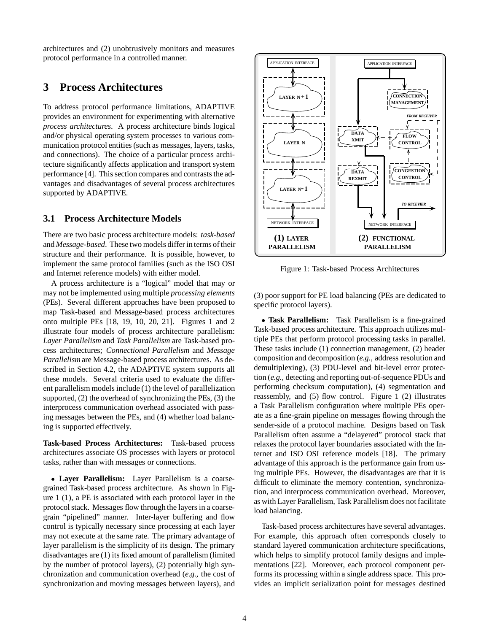architectures and (2) unobtrusively monitors and measures protocol performance in a controlled manner.

## **3 Process Architectures**

To address protocol performance limitations, ADAPTIVE provides an environment for experimenting with alternative *process architectures*. A process architecture binds logical and/or physical operating system processes to various communication protocol entities (such as messages, layers, tasks, and connections). The choice of a particular process architecture significantly affects application and transport system performance [4]. This section compares and contrasts the advantages and disadvantages of several process architectures supported by ADAPTIVE.

#### **3.1 Process Architecture Models**

There are two basic process architecture models: *task-based* and *Message-based*. These two models differ in terms of their structure and their performance. It is possible, however, to implement the same protocol families (such as the ISO OSI and Internet reference models) with either model.

A process architecture is a "logical" model that may or may not be implemented using multiple *processing elements* (PEs). Several different approaches have been proposed to map Task-based and Message-based process architectures onto multiple PEs [18, 19, 10, 20, 21]. Figures 1 and 2 illustrate four models of process architecture parallelism: *Layer Parallelism* and *Task Parallelism* are Task-based process architectures; *Connectional Parallelism* and *Message Parallelism* are Message-based process architectures. As described in Section 4.2, the ADAPTIVE system supports all these models. Several criteria used to evaluate the different parallelism models include (1) the level of parallelization supported, (2) the overhead of synchronizing the PEs, (3) the interprocess communication overhead associated with passing messages between the PEs, and (4) whether load balancing is supported effectively.

**Task-based Process Architectures:** Task-based process architectures associate OS processes with layers or protocol tasks, rather than with messages or connections.

 **Layer Parallelism:** Layer Parallelism is a coarsegrained Task-based process architecture. As shown in Figure 1 (1), a PE is associated with each protocol layer in the protocol stack. Messages flow through the layers in a coarsegrain "pipelined" manner. Inter-layer buffering and flow control is typically necessary since processing at each layer may not execute at the same rate. The primary advantage of layer parallelism is the simplicity of its design. The primary disadvantages are (1) its fixed amount of parallelism (limited by the number of protocol layers), (2) potentially high synchronization and communication overhead (*e.g.,* the cost of synchronization and moving messages between layers), and



Figure 1: Task-based Process Architectures

(3) poor support for PE load balancing (PEs are dedicated to specific protocol layers).

 **Task Parallelism:** Task Parallelism is a fine-grained Task-based process architecture. This approach utilizes multiple PEs that perform protocol processing tasks in parallel. These tasks include (1) connection management, (2) header composition and decomposition (*e.g.,* address resolution and demultiplexing), (3) PDU-level and bit-level error protection (*e.g.,* detecting and reporting out-of-sequence PDUs and performing checksum computation), (4) segmentation and reassembly, and (5) flow control. Figure 1 (2) illustrates a Task Parallelism configuration where multiple PEs operate as a fine-grain pipeline on messages flowing through the sender-side of a protocol machine. Designs based on Task Parallelism often assume a "delayered" protocol stack that relaxes the protocol layer boundaries associated with the Internet and ISO OSI reference models [18]. The primary advantage of this approach is the performance gain from using multiple PEs. However, the disadvantages are that it is difficult to eliminate the memory contention, synchronization, and interprocess communication overhead. Moreover, as with Layer Parallelism, Task Parallelism does not facilitate load balancing.

Task-based process architectures have several advantages. For example, this approach often corresponds closely to standard layered communication architecture specifications, which helps to simplify protocol family designs and implementations [22]. Moreover, each protocol component performs its processing within a single address space. This provides an implicit serialization point for messages destined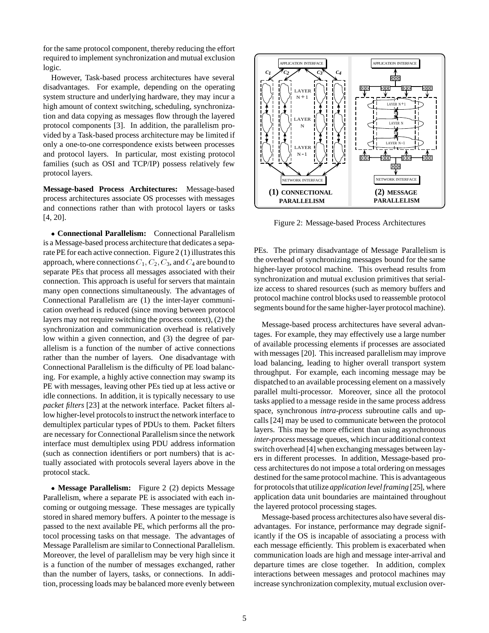for the same protocol component, thereby reducing the effort required to implement synchronization and mutual exclusion logic.

However, Task-based process architectures have several disadvantages. For example, depending on the operating system structure and underlying hardware, they may incur a high amount of context switching, scheduling, synchronization and data copying as messages flow through the layered protocol components [3]. In addition, the parallelism provided by a Task-based process architecture may be limited if only a one-to-one correspondence exists between processes and protocol layers. In particular, most existing protocol families (such as OSI and TCP/IP) possess relatively few protocol layers.

**Message-based Process Architectures:** Message-based process architectures associate OS processes with messages and connections rather than with protocol layers or tasks [4, 20].

 **Connectional Parallelism:** Connectional Parallelism is a Message-based process architecture that dedicates a separate PE for each active connection. Figure 2 (1) illustrates this approach, where connections  $C_1$ ,  $C_2$ ,  $C_3$ , and  $C_4$  are bound to separate PEs that process all messages associated with their connection. This approach is useful for servers that maintain many open connections simultaneously. The advantages of Connectional Parallelism are (1) the inter-layer communication overhead is reduced (since moving between protocol layers may not require switching the process context), (2) the synchronization and communication overhead is relatively low within a given connection, and (3) the degree of parallelism is a function of the number of active connections rather than the number of layers. One disadvantage with Connectional Parallelism is the difficulty of PE load balancing. For example, a highly active connection may swamp its PE with messages, leaving other PEs tied up at less active or idle connections. In addition, it is typically necessary to use *packet filters* [23] at the network interface. Packet filters allow higher-level protocols to instruct the network interface to demultiplex particular types of PDUs to them. Packet filters are necessary for Connectional Parallelism since the network interface must demultiplex using PDU address information (such as connection identifiers or port numbers) that is actually associated with protocols several layers above in the protocol stack.

 **Message Parallelism:** Figure 2 (2) depicts Message Parallelism, where a separate PE is associated with each incoming or outgoing message. These messages are typically stored in shared memory buffers. A pointer to the message is passed to the next available PE, which performs all the protocol processing tasks on that message. The advantages of Message Parallelism are similar to Connectional Parallelism. Moreover, the level of parallelism may be very high since it is a function of the number of messages exchanged, rather than the number of layers, tasks, or connections. In addition, processing loads may be balanced more evenly between



Figure 2: Message-based Process Architectures

PEs. The primary disadvantage of Message Parallelism is the overhead of synchronizing messages bound for the same higher-layer protocol machine. This overhead results from synchronization and mutual exclusion primitives that serialize access to shared resources (such as memory buffers and protocol machine control blocks used to reassemble protocol segments bound for the same higher-layer protocol machine).

Message-based process architectures have several advantages. For example, they may effectively use a large number of available processing elements if processes are associated with messages [20]. This increased parallelism may improve load balancing, leading to higher overall transport system throughput. For example, each incoming message may be dispatched to an available processing element on a massively parallel multi-processor. Moreover, since all the protocol tasks applied to a message reside in the same process address space, synchronous *intra-process* subroutine calls and upcalls [24] may be used to communicate between the protocol layers. This may be more efficient than using asynchronous *inter-process* message queues, which incur additional context switch overhead [4] when exchanging messages between layers in different processes. In addition, Message-based process architectures do not impose a total ordering on messages destined for the same protocol machine. This is advantageous for protocols that utilize *application level framing* [25], where application data unit boundaries are maintained throughout the layered protocol processing stages.

Message-based process architectures also have several disadvantages. For instance, performance may degrade significantly if the OS is incapable of associating a process with each message efficiently. This problem is exacerbated when communication loads are high and message inter-arrival and departure times are close together. In addition, complex interactions between messages and protocol machines may increase synchronization complexity, mutual exclusion over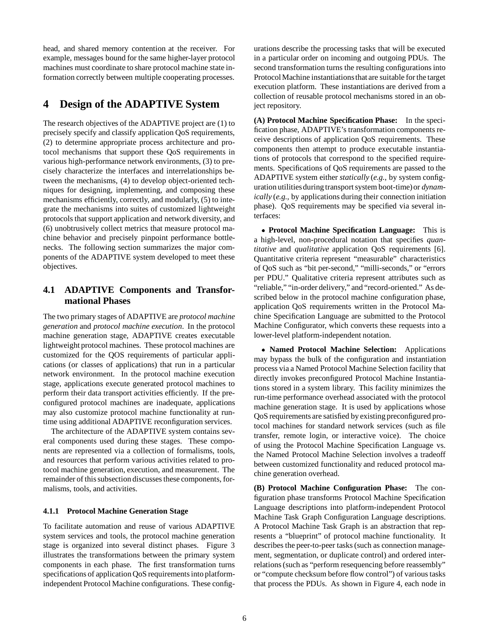head, and shared memory contention at the receiver. For example, messages bound for the same higher-layer protocol machines must coordinate to share protocol machine state information correctly between multiple cooperating processes.

# **4 Design of the ADAPTIVE System**

The research objectives of the ADAPTIVE project are (1) to precisely specify and classify application QoS requirements, (2) to determine appropriate process architecture and protocol mechanisms that support these QoS requirements in various high-performance network environments, (3) to precisely characterize the interfaces and interrelationships between the mechanisms, (4) to develop object-oriented techniques for designing, implementing, and composing these mechanisms efficiently, correctly, and modularly, (5) to integrate the mechanisms into suites of customized lightweight protocols that support application and network diversity, and (6) unobtrusively collect metrics that measure protocol machine behavior and precisely pinpoint performance bottlenecks. The following section summarizes the major components of the ADAPTIVE system developed to meet these objectives.

## **4.1 ADAPTIVE Components and Transformational Phases**

The two primary stages of ADAPTIVE are *protocol machine generation* and *protocol machine execution*. In the protocol machine generation stage, ADAPTIVE creates executable lightweight protocol machines. These protocol machines are customized for the QOS requirements of particular applications (or classes of applications) that run in a particular network environment. In the protocol machine execution stage, applications execute generated protocol machines to perform their data transport activities efficiently. If the preconfigured protocol machines are inadequate, applications may also customize protocol machine functionality at runtime using additional ADAPTIVE reconfiguration services.

The architecture of the ADAPTIVE system contains several components used during these stages. These components are represented via a collection of formalisms, tools, and resources that perform various activities related to protocol machine generation, execution, and measurement. The remainder of this subsection discusses these components, formalisms, tools, and activities.

#### **4.1.1 Protocol Machine Generation Stage**

To facilitate automation and reuse of various ADAPTIVE system services and tools, the protocol machine generation stage is organized into several distinct phases. Figure 3 illustrates the transformations between the primary system components in each phase. The first transformation turns specifications of application QoS requirements into platformindependent Protocol Machine configurations. These config-

urations describe the processing tasks that will be executed in a particular order on incoming and outgoing PDUs. The second transformation turns the resulting configurations into Protocol Machine instantiationsthat are suitable for the target execution platform. These instantiations are derived from a collection of reusable protocol mechanisms stored in an object repository.

**(A) Protocol Machine Specification Phase:** In the specification phase, ADAPTIVE's transformation components receive descriptions of application QoS requirements. These components then attempt to produce executable instantiations of protocols that correspond to the specified requirements. Specifications of QoS requirements are passed to the ADAPTIVE system either *statically* (*e.g.,* by system configuration utilities during transport system boot-time) or *dynamically* (*e.g.,* by applications during their connection initiation phase). QoS requirements may be specified via several interfaces:

 **Protocol Machine Specification Language:** This is a high-level, non-procedural notation that specifies *quantitative* and *qualitative* application QoS requirements [6]. Quantitative criteria represent "measurable" characteristics of QoS such as "bit per-second," "milli-seconds," or "errors per PDU." Qualitative criteria represent attributes such as "reliable," "in-order delivery," and "record-oriented." As described below in the protocol machine configuration phase, application QoS requirements written in the Protocol Machine Specification Language are submitted to the Protocol Machine Configurator, which converts these requests into a lower-level platform-independent notation.

 **Named Protocol Machine Selection:** Applications may bypass the bulk of the configuration and instantiation process via a Named Protocol Machine Selection facility that directly invokes preconfigured Protocol Machine Instantiations stored in a system library. This facility minimizes the run-time performance overhead associated with the protocol machine generation stage. It is used by applications whose QoS requirements are satisfied by existing preconfigured protocol machines for standard network services (such as file transfer, remote login, or interactive voice). The choice of using the Protocol Machine Specification Language vs. the Named Protocol Machine Selection involves a tradeoff between customized functionality and reduced protocol machine generation overhead.

**(B) Protocol Machine Configuration Phase:** The configuration phase transforms Protocol Machine Specification Language descriptions into platform-independent Protocol Machine Task Graph Configuration Language descriptions. A Protocol Machine Task Graph is an abstraction that represents a "blueprint" of protocol machine functionality. It describes the peer-to-peer tasks (such as connection management, segmentation, or duplicate control) and ordered interrelations (such as "perform resequencing before reassembly" or "compute checksum before flow control") of various tasks that process the PDUs. As shown in Figure 4, each node in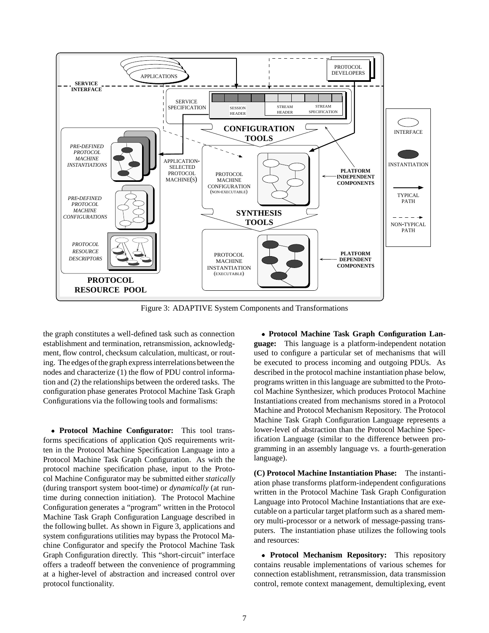

Figure 3: ADAPTIVE System Components and Transformations

the graph constitutes a well-defined task such as connection establishment and termination, retransmission, acknowledgment, flow control, checksum calculation, multicast, or routing. The edges of the graph express interrelations between the nodes and characterize (1) the flow of PDU control information and (2) the relationships between the ordered tasks. The configuration phase generates Protocol Machine Task Graph Configurations via the following tools and formalisms:

 **Protocol Machine Configurator:** This tool transforms specifications of application QoS requirements written in the Protocol Machine Specification Language into a Protocol Machine Task Graph Configuration. As with the protocol machine specification phase, input to the Protocol Machine Configurator may be submitted either *statically* (during transport system boot-time) or *dynamically* (at runtime during connection initiation). The Protocol Machine Configuration generates a "program" written in the Protocol Machine Task Graph Configuration Language described in the following bullet. As shown in Figure 3, applications and system configurations utilities may bypass the Protocol Machine Configurator and specify the Protocol Machine Task Graph Configuration directly. This "short-circuit" interface offers a tradeoff between the convenience of programming at a higher-level of abstraction and increased control over protocol functionality.

 **Protocol Machine Task Graph Configuration Language:** This language is a platform-independent notation used to configure a particular set of mechanisms that will be executed to process incoming and outgoing PDUs. As described in the protocol machine instantiation phase below, programs written in this language are submitted to the Protocol Machine Synthesizer, which produces Protocol Machine Instantiations created from mechanisms stored in a Protocol Machine and Protocol Mechanism Repository. The Protocol Machine Task Graph Configuration Language represents a lower-level of abstraction than the Protocol Machine Specification Language (similar to the difference between programming in an assembly language vs. a fourth-generation language).

**(C) Protocol Machine Instantiation Phase:** The instantiation phase transforms platform-independent configurations written in the Protocol Machine Task Graph Configuration Language into Protocol Machine Instantiations that are executable on a particular target platform such as a shared memory multi-processor or a network of message-passing transputers. The instantiation phase utilizes the following tools and resources:

 **Protocol Mechanism Repository:** This repository contains reusable implementations of various schemes for connection establishment, retransmission, data transmission control, remote context management, demultiplexing, event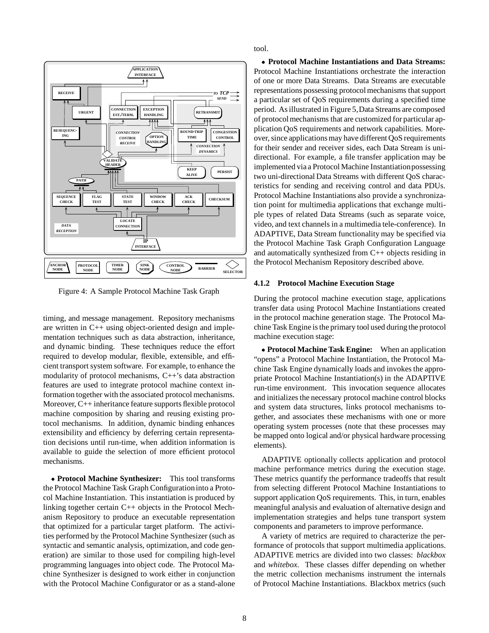

Figure 4: A Sample Protocol Machine Task Graph

timing, and message management. Repository mechanisms are written in C++ using object-oriented design and implementation techniques such as data abstraction, inheritance, and dynamic binding. These techniques reduce the effort required to develop modular, flexible, extensible, and efficient transport system software. For example, to enhance the modularity of protocol mechanisms, C++'s data abstraction features are used to integrate protocol machine context information together with the associated protocol mechanisms. Moreover, C++ inheritance feature supports flexible protocol machine composition by sharing and reusing existing protocol mechanisms. In addition, dynamic binding enhances extensibility and efficiency by deferring certain representation decisions until run-time, when addition information is available to guide the selection of more efficient protocol mechanisms.

 **Protocol Machine Synthesizer:** This tool transforms the Protocol Machine Task Graph Configurationinto a Protocol Machine Instantiation. This instantiation is produced by linking together certain C++ objects in the Protocol Mechanism Repository to produce an executable representation that optimized for a particular target platform. The activities performed by the Protocol Machine Synthesizer (such as syntactic and semantic analysis, optimization, and code generation) are similar to those used for compiling high-level programming languages into object code. The Protocol Machine Synthesizer is designed to work either in conjunction with the Protocol Machine Configurator or as a stand-alone tool.

 **Protocol Machine Instantiations and Data Streams:** Protocol Machine Instantiations orchestrate the interaction of one or more Data Streams. Data Streams are executable representations possessing protocol mechanisms that support a particular set of QoS requirements during a specified time period. As illustrated in Figure 5,Data Streams are composed of protocol mechanisms that are customized for particular application QoS requirements and network capabilities. Moreover, since applications may have different QoS requirements for their sender and receiver sides, each Data Stream is unidirectional. For example, a file transfer application may be implemented via a Protocol Machine Instantiationpossessing two uni-directional Data Streams with different QoS characteristics for sending and receiving control and data PDUs. Protocol Machine Instantiations also provide a synchronization point for multimedia applications that exchange multiple types of related Data Streams (such as separate voice, video, and text channels in a multimedia tele-conference). In ADAPTIVE, Data Stream functionality may be specified via the Protocol Machine Task Graph Configuration Language and automatically synthesized from C++ objects residing in the Protocol Mechanism Repository described above.

#### **4.1.2 Protocol Machine Execution Stage**

During the protocol machine execution stage, applications transfer data using Protocol Machine Instantiations created in the protocol machine generation stage. The Protocol Machine Task Engine is the primary tool used during the protocol machine execution stage:

 **Protocol Machine Task Engine:** When an application "opens" a Protocol Machine Instantiation, the Protocol Machine Task Engine dynamically loads and invokes the appropriate Protocol Machine Instantiation(s) in the ADAPTIVE run-time environment. This invocation sequence allocates and initializes the necessary protocol machine control blocks and system data structures, links protocol mechanisms together, and associates these mechanisms with one or more operating system processes (note that these processes may be mapped onto logical and/or physical hardware processing elements).

ADAPTIVE optionally collects application and protocol machine performance metrics during the execution stage. These metrics quantify the performance tradeoffs that result from selecting different Protocol Machine Instantiations to support application QoS requirements. This, in turn, enables meaningful analysis and evaluation of alternative design and implementation strategies and helps tune transport system components and parameters to improve performance.

A variety of metrics are required to characterize the performance of protocols that support multimedia applications. ADAPTIVE metrics are divided into two classes: *blackbox* and *whitebox*. These classes differ depending on whether the metric collection mechanisms instrument the internals of Protocol Machine Instantiations. Blackbox metrics (such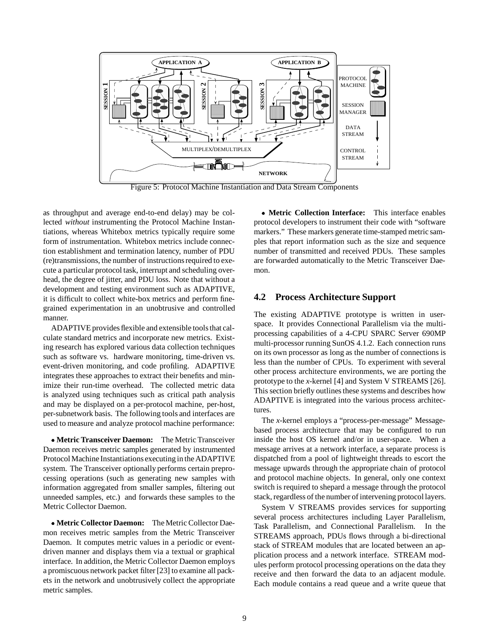

Figure 5: Protocol Machine Instantiation and Data Stream Components

as throughput and average end-to-end delay) may be collected *without* instrumenting the Protocol Machine Instantiations, whereas Whitebox metrics typically require some form of instrumentation. Whitebox metrics include connection establishment and termination latency, number of PDU (re)transmissions, the number of instructions required to execute a particular protocol task, interrupt and scheduling overhead, the degree of jitter, and PDU loss. Note that without a development and testing environment such as ADAPTIVE, it is difficult to collect white-box metrics and perform finegrained experimentation in an unobtrusive and controlled manner.

ADAPTIVE provides flexible and extensible tools that calculate standard metrics and incorporate new metrics. Existing research has explored various data collection techniques such as software vs. hardware monitoring, time-driven vs. event-driven monitoring, and code profiling. ADAPTIVE integrates these approaches to extract their benefits and minimize their run-time overhead. The collected metric data is analyzed using techniques such as critical path analysis and may be displayed on a per-protocol machine, per-host, per-subnetwork basis. The following tools and interfaces are used to measure and analyze protocol machine performance:

 **Metric Transceiver Daemon:** The Metric Transceiver Daemon receives metric samples generated by instrumented Protocol Machine Instantiations executing in the ADAPTIVE system. The Transceiver optionally performs certain preprocessing operations (such as generating new samples with information aggregated from smaller samples, filtering out unneeded samples, etc.) and forwards these samples to the Metric Collector Daemon.

 **Metric Collector Daemon:** The Metric Collector Daemon receives metric samples from the Metric Transceiver Daemon. It computes metric values in a periodic or eventdriven manner and displays them via a textual or graphical interface. In addition, the Metric Collector Daemon employs a promiscuous network packet filter [23] to examine all packets in the network and unobtrusively collect the appropriate metric samples.

 **Metric Collection Interface:** This interface enables protocol developers to instrument their code with "software markers." These markers generate time-stamped metric samples that report information such as the size and sequence number of transmitted and received PDUs. These samples are forwarded automatically to the Metric Transceiver Daemon.

### **4.2 Process Architecture Support**

The existing ADAPTIVE prototype is written in userspace. It provides Connectional Parallelism via the multiprocessing capabilities of a 4-CPU SPARC Server 690MP multi-processor running SunOS 4.1.2. Each connection runs on its own processor as long as the number of connections is less than the number of CPUs. To experiment with several other process architecture environments, we are porting the prototype to the *x*-kernel [4] and System V STREAMS [26]. This section briefly outlines these systems and describes how ADAPTIVE is integrated into the various process architectures.

The *x*-kernel employs a "process-per-message" Messagebased process architecture that may be configured to run inside the host OS kernel and/or in user-space. When a message arrives at a network interface, a separate process is dispatched from a pool of lightweight threads to escort the message upwards through the appropriate chain of protocol and protocol machine objects. In general, only one context switch is required to shepard a message through the protocol stack, regardless of the number of intervening protocol layers.

System V STREAMS provides services for supporting several process architectures including Layer Parallelism, Task Parallelism, and Connectional Parallelism. In the STREAMS approach, PDUs flows through a bi-directional stack of STREAM modules that are located between an application process and a network interface. STREAM modules perform protocol processing operations on the data they receive and then forward the data to an adjacent module. Each module contains a read queue and a write queue that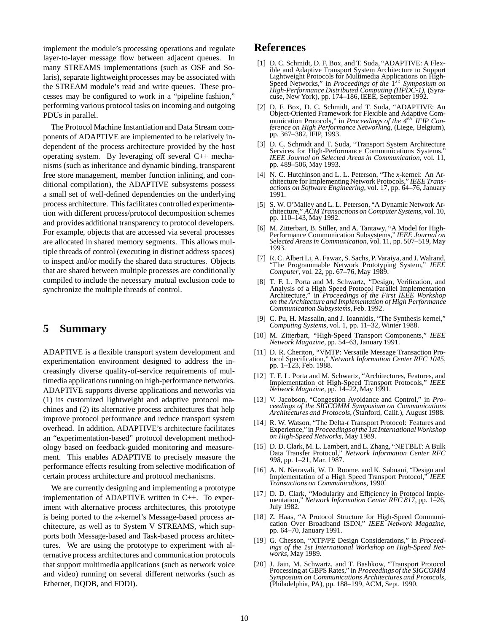implement the module's processing operations and regulate layer-to-layer message flow between adjacent queues. In many STREAMS implementations (such as OSF and Solaris), separate lightweight processes may be associated with the STREAM module's read and write queues. These processes may be configured to work in a "pipeline fashion," performing various protocol tasks on incoming and outgoing PDUs in parallel.

The Protocol Machine Instantiation and Data Stream components of ADAPTIVE are implemented to be relatively independent of the process architecture provided by the host operating system. By leveraging off several C++ mechanisms (such as inheritance and dynamic binding, transparent free store management, member function inlining, and conditional compilation), the ADAPTIVE subsystems possess a small set of well-defined dependencies on the underlying process architecture. This facilitates controlled experimentation with different process/protocol decomposition schemes and provides additional transparency to protocol developers. For example, objects that are accessed via several processes are allocated in shared memory segments. This allows multiple threads of control (executing in distinct address spaces) to inspect and/or modify the shared data structures. Objects that are shared between multiple processes are conditionally compiled to include the necessary mutual exclusion code to synchronize the multiple threads of control.

## **5 Summary**

ADAPTIVE is a flexible transport system development and experimentation environment designed to address the increasingly diverse quality-of-service requirements of multimedia applications running on high-performance networks. ADAPTIVE supports diverse applications and networks via (1) its customized lightweight and adaptive protocol machines and (2) its alternative process architectures that help improve protocol performance and reduce transport system overhead. In addition, ADAPTIVE's architecture facilitates an "experimentation-based" protocol development methodology based on feedback-guided monitoring and measurement. This enables ADAPTIVE to precisely measure the performance effects resulting from selective modification of certain process architecture and protocol mechanisms.

We are currently designing and implementing a prototype implementation of ADAPTIVE written in C++. To experiment with alternative process architectures, this prototype is being ported to the *x*-kernel's Message-based process architecture, as well as to System V STREAMS, which supports both Message-based and Task-based process architectures. We are using the prototype to experiment with alternative process architectures and communication protocols that support multimedia applications (such as network voice and video) running on several different networks (such as Ethernet, DQDB, and FDDI).

## **References**

- [1] D. C. Schmidt, D. F. Box, and T. Suda, "ADAPTIVE: A Flexible and Adaptive Transport System Architecture to Support Lightweight Protocols for Multimedia Applications on High-Speed Networks," in *Proceedings of the*  $1^{st}$  *Symposium on High-Performance Distributed Computing (HPDC-1)*, (Syracuse, New York), pp. 174–186, IEEE, September 1992.
- [2] D. F. Box, D. C. Schmidt, and T. Suda, "ADAPTIVE: An Object-Oriented Framework for Flexible and Adaptive Communication Protocols," in *Proceedings of the* 4<sup>th</sup> *IFIP Conference on High Performance Networking*, (Liege, Belgium), pp. 367–382, IFIP, 1993.
- [3] D. C. Schmidt and T. Suda, "Transport System Architecture Services for High-Performance Communications Systems *IEEE Journal on Selected Areas in Communication*, vol. 11, pp. 489–506, May 1993.
- [4] N. C. Hutchinson and L. L. Peterson, "The *x*-kernel: An Architecture for Implementing Network Protocols," *IEEE Transactions on Software Engineering*, vol. 17, pp. 64–76, January 1991.
- [5] S. W. O'Malley and L. L. Peterson, "A Dynamic Network Architecture," *ACM Transactions on Computer Systems*, vol. 10, pp. 110–143, May 1992.
- [6] M. Zitterbart, B. Stiller, and A. Tantawy, "A Model for High-Performance Communication Subsystems," *IEEE Journal on Selected Areas in Communication*, vol. 11, pp. 507–519, May 1993.
- [7] R. C. Albert Li, A. Fawaz, S. Sachs, P. Varaiya, and J. Walrand, "The Programmable Network Prototyping System," *IEEE Computer*, vol. 22, pp. 67–76, May 1989.
- [8] T. F. L. Porta and M. Schwartz, "Design, Verification, and Analysis of a High Speed Protocol Parallel Implementation Architecture," in *Proceedings of the First IEEE Workshop on the Architecture and Implementation of High Performance Communication Subsystems*, Feb. 1992.
- [9] C. Pu, H. Massalin, and J. Ioannidis, "The Synthesis kernel," *Computing Systems*, vol. 1, pp. 11–32, Winter 1988.
- [10] M. Zitterbart, "High-Speed Transport Components," *IEEE Network Magazine*, pp. 54–63, January 1991.
- [11] D. R. Cheriton, "VMTP: Versatile Message Transaction Protocol Specification," *Network Information Center RFC 1045*, pp. 1–123, Feb. 1988.
- [12] T. F. L. Porta and M. Schwartz, "Architectures, Features, and Implementation of High-Speed Transport Protocols," *IEEE Network Magazine*, pp. 14–22, May 1991.
- [13] V. Jacobson, "Congestion Avoidance and Control," in *Proceedings of the SIGCOMM Symposium on Communications Architectures and Protocols*, (Stanford, Calif.), August 1988.
- [14] R. W. Watson, "The Delta-*t* Transport Protocol: Features and Experience," in *Proceedingsof the 1st International Workshop on High-Speed Networks*, May 1989.
- [15] D. D. Clark, M. L. Lambert, and L. Zhang, "NETBLT: A Bulk Data Transfer Protocol," *Network Information Center RFC 998*, pp. 1–21, Mar. 1987.
- [16] A. N. Netravali, W. D. Roome, and K. Sabnani, "Design and Implementation of a High Speed Transport Protocol," *IEEE Transactions on Communications*, 1990.
- [17] D. D. Clark, "Modularity and Efficiency in Protocol Implementation," *Network Information Center RFC 817*, pp. 1–26, July 1982.
- [18] Z. Haas, "A Protocol Structure for High-Speed Communication Over Broadband ISDN," *IEEE Network Magazine*, pp. 64–70, January 1991.
- [19] G. Chesson, "XTP/PE Design Considerations," in *Proceedings of the 1st International Workshop on High-Speed Networks*, May 1989.
- [20] J. Jain, M. Schwartz, and T. Bashkow, "Transport Protocol Processing at GBPS Rates," in *Proceedings of the SIGCOMM Symposium on Communications Architectures and Protocols*, (Philadelphia, PA), pp. 188–199, ACM, Sept. 1990.